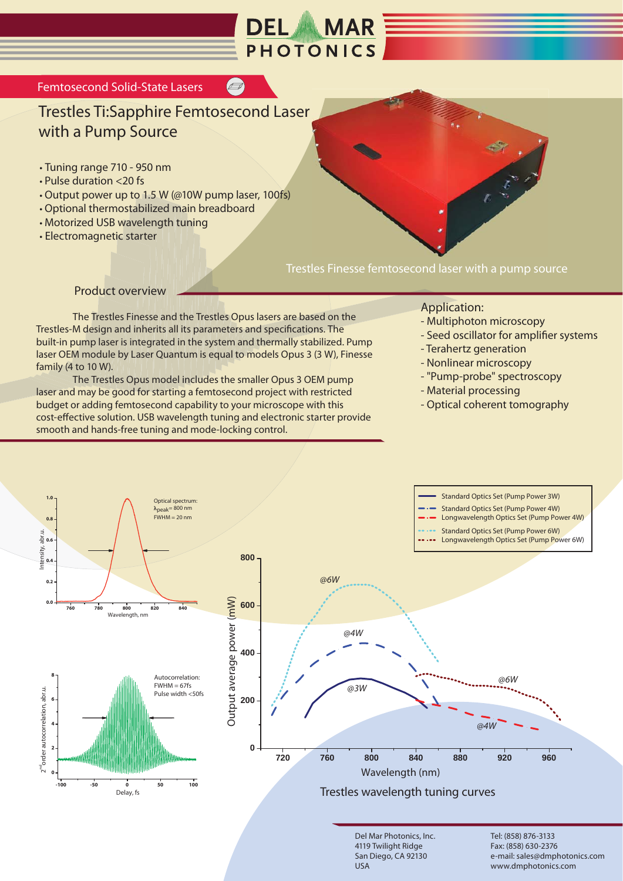

## Trestles Ti:Sapphire Femtosecond Laser with a Pump Source

- Tuning range 710 950 nm
- Pulse duration <20 fs
- Output power up to 1.5 W (@10W pump laser, 100fs)
- Optional thermostabilized main breadboard
- Motorized USB wavelength tuning
- Electromagnetic starter

Trestles Finesse femtosecond laser with a pump source

Product overview

 The Trestles Finesse and the Trestles Opus lasers are based on the Trestles-M design and inherits all its parameters and specifications. The built-in pump laser is integrated in the system and thermally stabilized. Pump laser OEM module by Laser Quantum is equal to models Opus 3 (3 W), Finesse family (4 to 10 W).

 The Trestles Opus model includes the smaller Opus 3 OEM pump laser and may be good for starting a femtosecond project with restricted budget or adding femtosecond capability to your microscope with this cost-effective solution. USB wavelength tuning and electronic starter provide smooth and hands-free tuning and mode-locking control.

## Application:

- Multiphoton microscopy
- Seed oscillator for amplifier systems
- Terahertz generation
- Nonlinear microscopy
- "Pump-probe" spectroscopy
- Material processing
- Optical coherent tomography



Del Mar Photonics, Inc. 4119 Twilight Ridge San Diego, CA 92130 USA

Tel: (858) 876-3133 Fax: (858) 630-2376 e-mail: sales@dmphotonics.com www.dmphotonics.com